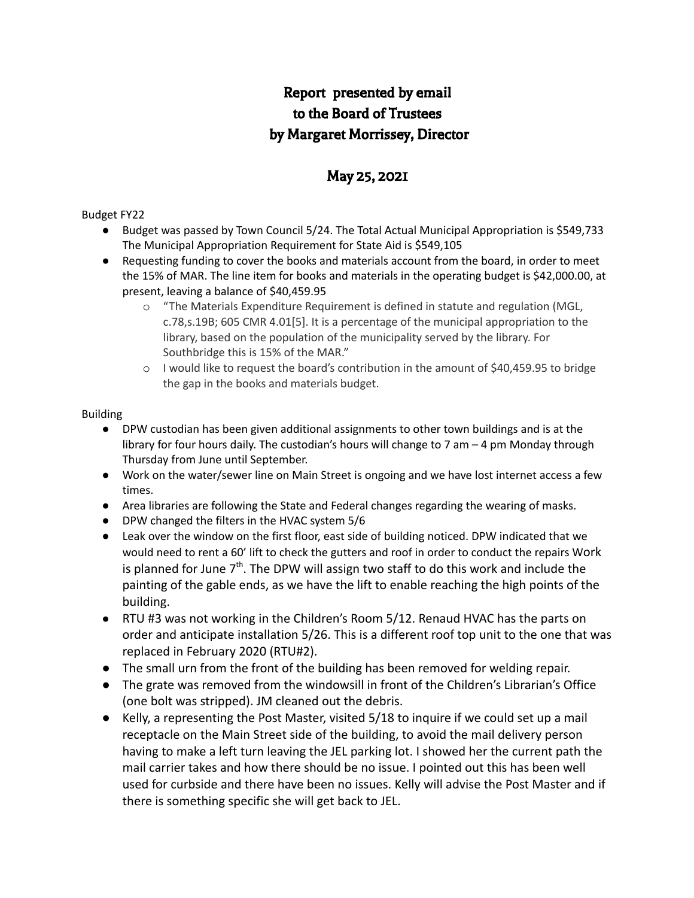# Report presented by email to the Board of Trustees by Margaret Morrissey, Director

# May 25, 2021

#### Budget FY22

- Budget was passed by Town Council 5/24. The Total Actual Municipal Appropriation is \$549,733 The Municipal Appropriation Requirement for State Aid is \$549,105
- Requesting funding to cover the books and materials account from the board, in order to meet the 15% of MAR. The line item for books and materials in the operating budget is \$42,000.00, at present, leaving a balance of \$40,459.95
	- o "The Materials Expenditure Requirement is defined in statute and regulation (MGL, c.78,s.19B; 605 CMR 4.01[5]. It is a percentage of the municipal appropriation to the library, based on the population of the municipality served by the library. For Southbridge this is 15% of the MAR."
	- o I would like to request the board's contribution in the amount of \$40,459.95 to bridge the gap in the books and materials budget.

#### Building

- DPW custodian has been given additional assignments to other town buildings and is at the library for four hours daily. The custodian's hours will change to 7 am – 4 pm Monday through Thursday from June until September.
- Work on the water/sewer line on Main Street is ongoing and we have lost internet access a few times.
- Area libraries are following the State and Federal changes regarding the wearing of masks.
- DPW changed the filters in the HVAC system 5/6
- Leak over the window on the first floor, east side of building noticed. DPW indicated that we would need to rent a 60' lift to check the gutters and roof in order to conduct the repairs Work is planned for June  $7<sup>th</sup>$ . The DPW will assign two staff to do this work and include the painting of the gable ends, as we have the lift to enable reaching the high points of the building.
- RTU #3 was not working in the Children's Room 5/12. Renaud HVAC has the parts on order and anticipate installation 5/26. This is a different roof top unit to the one that was replaced in February 2020 (RTU#2).
- The small urn from the front of the building has been removed for welding repair.
- The grate was removed from the windowsill in front of the Children's Librarian's Office (one bolt was stripped). JM cleaned out the debris.
- Kelly, a representing the Post Master, visited 5/18 to inquire if we could set up a mail receptacle on the Main Street side of the building, to avoid the mail delivery person having to make a left turn leaving the JEL parking lot. I showed her the current path the mail carrier takes and how there should be no issue. I pointed out this has been well used for curbside and there have been no issues. Kelly will advise the Post Master and if there is something specific she will get back to JEL.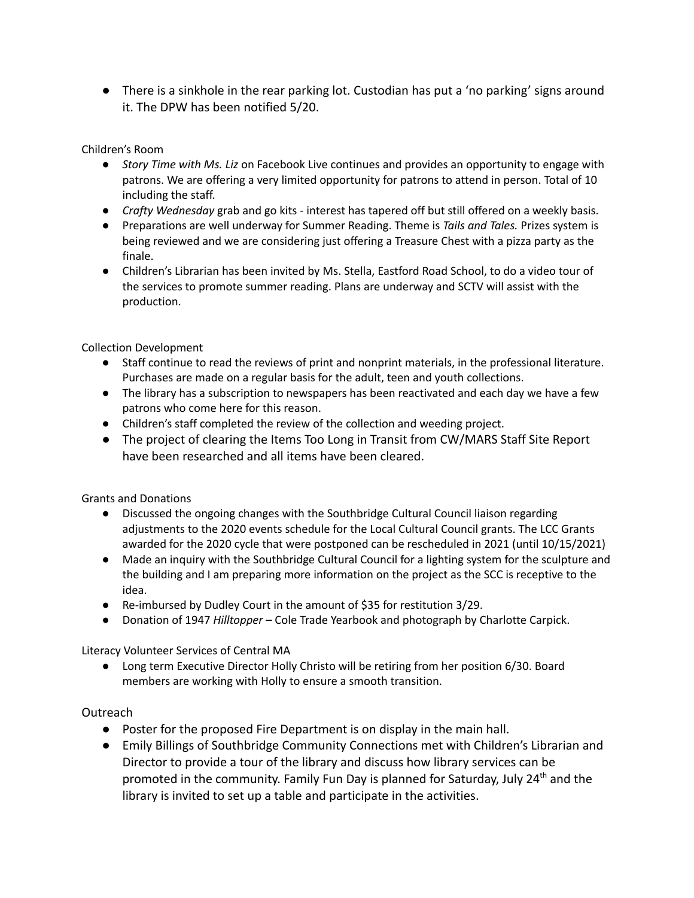● There is a sinkhole in the rear parking lot. Custodian has put a 'no parking' signs around it. The DPW has been notified 5/20.

## Children's Room

- *Story Time with Ms. Liz* on Facebook Live continues and provides an opportunity to engage with patrons. We are offering a very limited opportunity for patrons to attend in person. Total of 10 including the staff.
- *Crafty Wednesday* grab and go kits interest has tapered off but still offered on a weekly basis.
- Preparations are well underway for Summer Reading. Theme is *Tails and Tales.* Prizes system is being reviewed and we are considering just offering a Treasure Chest with a pizza party as the finale.
- Children's Librarian has been invited by Ms. Stella, Eastford Road School, to do a video tour of the services to promote summer reading. Plans are underway and SCTV will assist with the production.

#### Collection Development

- Staff continue to read the reviews of print and nonprint materials, in the professional literature. Purchases are made on a regular basis for the adult, teen and youth collections.
- The library has a subscription to newspapers has been reactivated and each day we have a few patrons who come here for this reason.
- Children's staff completed the review of the collection and weeding project.
- The project of clearing the Items Too Long in Transit from CW/MARS Staff Site Report have been researched and all items have been cleared.

Grants and Donations

- Discussed the ongoing changes with the Southbridge Cultural Council liaison regarding adjustments to the 2020 events schedule for the Local Cultural Council grants. The LCC Grants awarded for the 2020 cycle that were postponed can be rescheduled in 2021 (until 10/15/2021)
- Made an inquiry with the Southbridge Cultural Council for a lighting system for the sculpture and the building and I am preparing more information on the project as the SCC is receptive to the idea.
- Re-imbursed by Dudley Court in the amount of \$35 for restitution 3/29.
- Donation of 1947 *Hilltopper* Cole Trade Yearbook and photograph by Charlotte Carpick.

Literacy Volunteer Services of Central MA

● Long term Executive Director Holly Christo will be retiring from her position 6/30. Board members are working with Holly to ensure a smooth transition.

#### Outreach

- Poster for the proposed Fire Department is on display in the main hall.
- Emily Billings of Southbridge Community Connections met with Children's Librarian and Director to provide a tour of the library and discuss how library services can be promoted in the community. Family Fun Day is planned for Saturday, July 24<sup>th</sup> and the library is invited to set up a table and participate in the activities.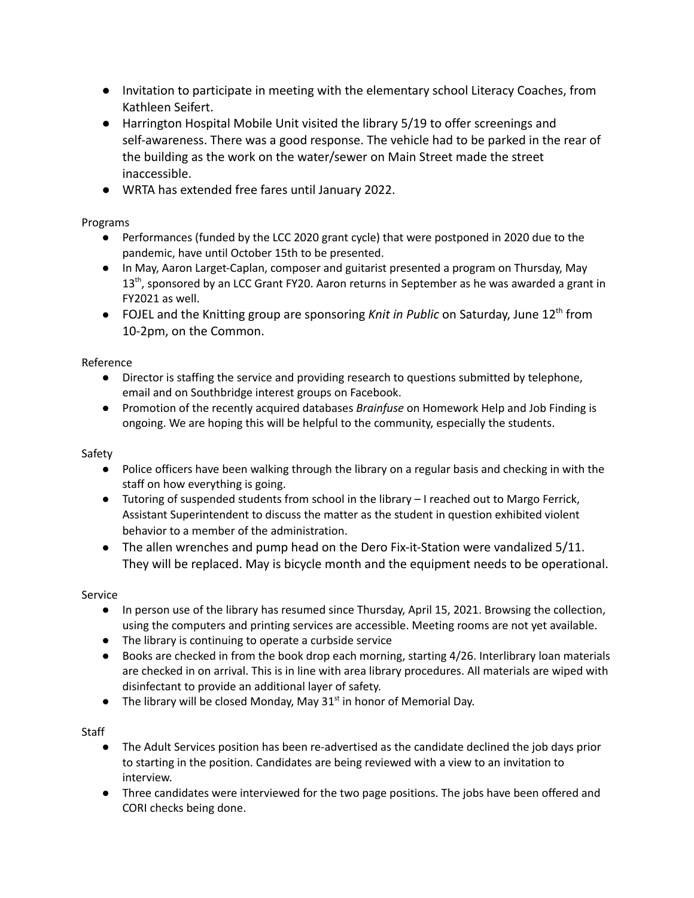- Invitation to participate in meeting with the elementary school Literacy Coaches, from Kathleen Seifert.
- Harrington Hospital Mobile Unit visited the library 5/19 to offer screenings and self-awareness. There was a good response. The vehicle had to be parked in the rear of the building as the work on the water/sewer on Main Street made the street inaccessible.
- WRTA has extended free fares until January 2022.

Programs

- Performances (funded by the LCC 2020 grant cycle) that were postponed in 2020 due to the pandemic, have until October 15th to be presented.
- In May, Aaron Larget-Caplan, composer and guitarist presented a program on Thursday, May 13<sup>th</sup>, sponsored by an LCC Grant FY20. Aaron returns in September as he was awarded a grant in FY2021 as well.
- FOJEL and the Knitting group are sponsoring *Knit in Public* on Saturday, June 12<sup>th</sup> from 10-2pm, on the Common.

Reference

- Director is staffing the service and providing research to questions submitted by telephone, email and on Southbridge interest groups on Facebook.
- Promotion of the recently acquired databases *Brainfuse* on Homework Help and Job Finding is ongoing. We are hoping this will be helpful to the community, especially the students.

## Safety

- Police officers have been walking through the library on a regular basis and checking in with the staff on how everything is going.
- Tutoring of suspended students from school in the library I reached out to Margo Ferrick, Assistant Superintendent to discuss the matter as the student in question exhibited violent behavior to a member of the administration.
- The allen wrenches and pump head on the Dero Fix-it-Station were vandalized 5/11. They will be replaced. May is bicycle month and the equipment needs to be operational.

## Service

- In person use of the library has resumed since Thursday, April 15, 2021. Browsing the collection, using the computers and printing services are accessible. Meeting rooms are not yet available.
- The library is continuing to operate a curbside service
- Books are checked in from the book drop each morning, starting 4/26. Interlibrary loan materials are checked in on arrival. This is in line with area library procedures. All materials are wiped with disinfectant to provide an additional layer of safety.
- The library will be closed Monday, May  $31<sup>st</sup>$  in honor of Memorial Day.

# **Staff**

- The Adult Services position has been re-advertised as the candidate declined the job days prior to starting in the position. Candidates are being reviewed with a view to an invitation to interview.
- Three candidates were interviewed for the two page positions. The jobs have been offered and CORI checks being done.